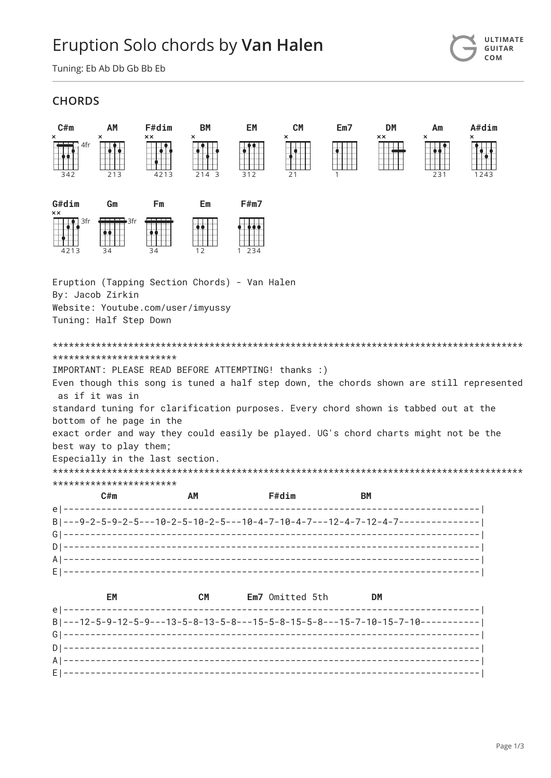## Eruption Solo chords by Van Halen

Tuning: Eb Ab Db Gb Bb Eb

## **CHORDS**



**ULTIMATE** 

GUITAR COM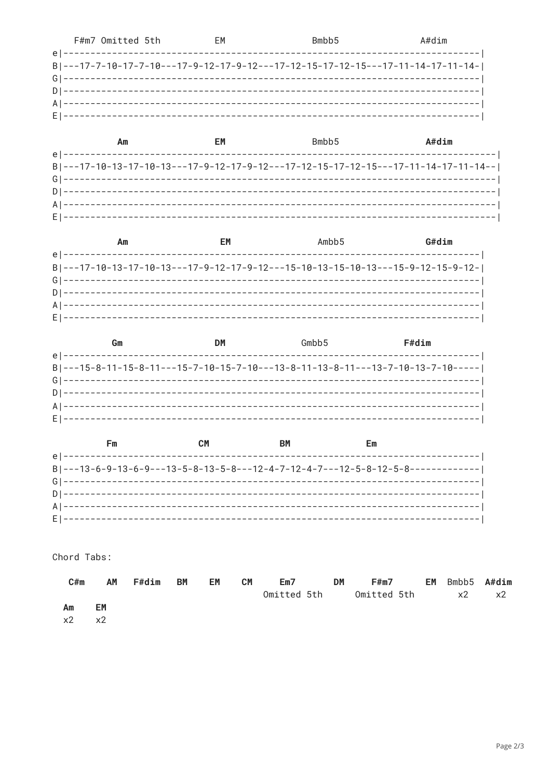|  | F#m7 Omitted 5th | FM | Bmbb <sub>5</sub>                                                                | A#dim |
|--|------------------|----|----------------------------------------------------------------------------------|-------|
|  |                  |    |                                                                                  |       |
|  |                  |    | B ---17-7-10-17-7-10----17-9-12-17-9-12---17-12-15-17-12-15---17-11-14-17-11-14- |       |
|  |                  |    |                                                                                  |       |
|  |                  |    |                                                                                  |       |
|  |                  |    |                                                                                  |       |
|  |                  |    |                                                                                  |       |

| Аm                                                                                 | FМ | Bmbb <sub>5</sub> | $A#$ dim |
|------------------------------------------------------------------------------------|----|-------------------|----------|
|                                                                                    |    |                   |          |
| B ---17-10-13-17-10-13---17-9-12-17-9-12---17-12-15-17-12-15---17-11-14-17-11-14-- |    |                   |          |
|                                                                                    |    |                   |          |
|                                                                                    |    |                   |          |
|                                                                                    |    |                   |          |
|                                                                                    |    |                   |          |

| Am | EМ | Ambb <sub>5</sub>                                                               | G#dim |
|----|----|---------------------------------------------------------------------------------|-------|
|    |    |                                                                                 |       |
|    |    | B ---17-10-13-17-10-13---17-9-12-17-9-12---15-10-13-15-10-13---15-9-12-15-9-12- |       |
|    |    |                                                                                 |       |
|    |    |                                                                                 |       |
|    |    |                                                                                 |       |
|    |    |                                                                                 |       |

| Gm | DМ | Gmbh5 | F#dim                                                                           |
|----|----|-------|---------------------------------------------------------------------------------|
|    |    |       |                                                                                 |
|    |    |       | B ---15-8-11-15-8-11---15-7-10-15-7-10---13-8-11-13-8-11---13-7-10-13-7-10----- |
|    |    |       |                                                                                 |
|    |    |       |                                                                                 |
|    |    |       |                                                                                 |

| Fm                                                                              | ВM | Em |  |
|---------------------------------------------------------------------------------|----|----|--|
|                                                                                 |    |    |  |
| B ---13-6-9-13-6-9---13-5-8-13-5-8---12-4-7-12-4-7---12-5-8-12-5-8------------- |    |    |  |
|                                                                                 |    |    |  |
|                                                                                 |    |    |  |
|                                                                                 |    |    |  |
|                                                                                 |    |    |  |

Chord Tabs:

| C#m        | AM         | <b>F#dim</b> | <b>BM</b> | EM | <b>CM</b> | Em7         | <b>DM</b> | F#m7        | EM Bmbb5 A#dim |    |
|------------|------------|--------------|-----------|----|-----------|-------------|-----------|-------------|----------------|----|
|            |            |              |           |    |           | Omitted 5th |           | Omitted 5th | $\times 2$     | x2 |
| Am         | EM         |              |           |    |           |             |           |             |                |    |
| $\times 2$ | $\times 2$ |              |           |    |           |             |           |             |                |    |